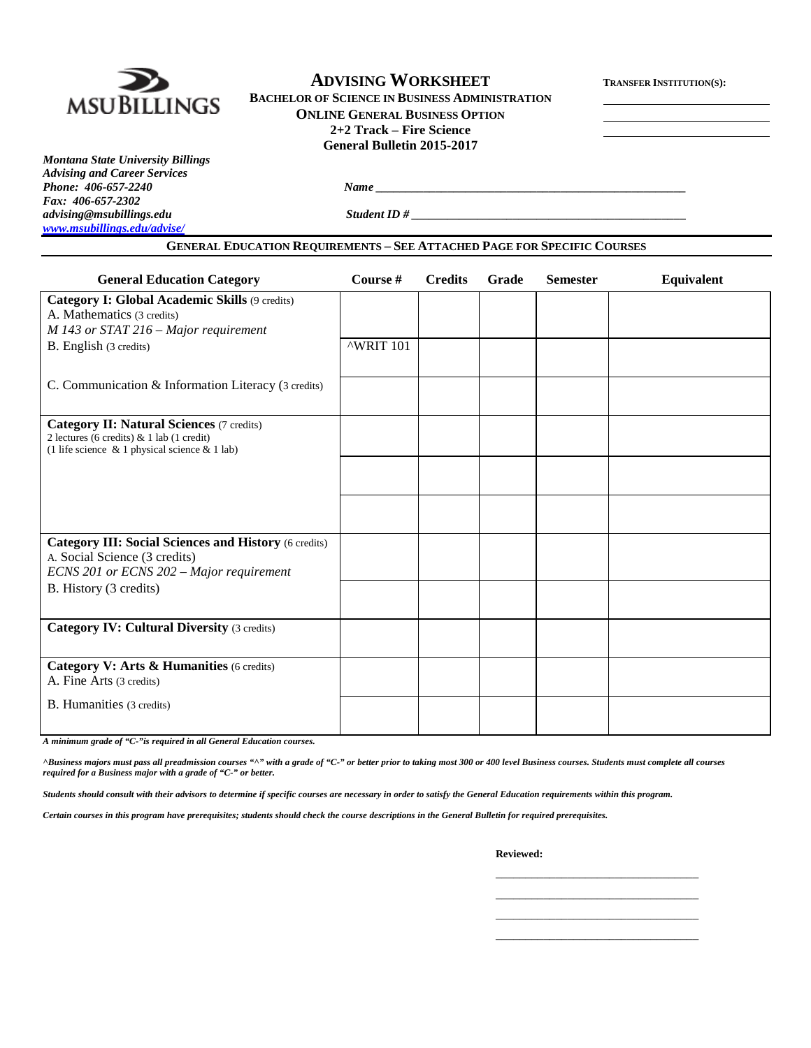

# **ADVISING WORKSHEET TRANSFER INSTITUTION(S):**

**BACHELOR OF SCIENCE IN BUSINESS ADMINISTRATION ONLINE GENERAL BUSINESS OPTION 2+2 Track – Fire Science General Bulletin 2015-2017**

*Montana State University Billings Advising and Career Services Phone: 406-657-2240 Name \_\_\_\_\_\_\_\_\_\_\_\_\_\_\_\_\_\_\_\_\_\_\_\_\_\_\_\_\_\_\_\_\_\_\_\_\_\_\_\_\_\_\_\_\_\_\_\_\_\_\_\_ Fax: 406-657-2302 [www.msubillings.edu/advise/](http://www.msubillings.edu/advise/)*

*advising@msubillings.edu Student ID # \_\_\_\_\_\_\_\_\_\_\_\_\_\_\_\_\_\_\_\_\_\_\_\_\_\_\_\_\_\_\_\_\_\_\_\_\_\_\_\_\_\_\_\_\_\_*

**GENERAL EDUCATION REQUIREMENTS – SEE ATTACHED PAGE FOR SPECIFIC COURSES**

| <b>General Education Category</b>                                                                                                             | Course #  | <b>Credits</b> | Grade | <b>Semester</b> | <b>Equivalent</b> |
|-----------------------------------------------------------------------------------------------------------------------------------------------|-----------|----------------|-------|-----------------|-------------------|
| Category I: Global Academic Skills (9 credits)<br>A. Mathematics (3 credits)<br>M 143 or STAT 216 - Major requirement                         |           |                |       |                 |                   |
| B. English (3 credits)                                                                                                                        | ^WRIT 101 |                |       |                 |                   |
| C. Communication & Information Literacy (3 credits)                                                                                           |           |                |       |                 |                   |
| Category II: Natural Sciences (7 credits)<br>2 lectures (6 credits) & 1 lab (1 credit)<br>(1 life science $\&$ 1 physical science $\&$ 1 lab) |           |                |       |                 |                   |
|                                                                                                                                               |           |                |       |                 |                   |
|                                                                                                                                               |           |                |       |                 |                   |
| <b>Category III: Social Sciences and History (6 credits)</b><br>A. Social Science (3 credits)<br>ECNS 201 or ECNS 202 - Major requirement     |           |                |       |                 |                   |
| B. History (3 credits)                                                                                                                        |           |                |       |                 |                   |
| <b>Category IV: Cultural Diversity (3 credits)</b>                                                                                            |           |                |       |                 |                   |
| Category V: Arts & Humanities (6 credits)<br>A. Fine Arts (3 credits)                                                                         |           |                |       |                 |                   |
| B. Humanities (3 credits)                                                                                                                     |           |                |       |                 |                   |

*A minimum grade of "C-"is required in all General Education courses.* 

*^Business majors must pass all preadmission courses "^" with a grade of "C-" or better prior to taking most 300 or 400 level Business courses. Students must complete all courses required for a Business major with a grade of "C-" or better.*

*Students should consult with their advisors to determine if specific courses are necessary in order to satisfy the General Education requirements within this program.*

*Certain courses in this program have prerequisites; students should check the course descriptions in the General Bulletin for required prerequisites.*

**Reviewed:**

\_\_\_\_\_\_\_\_\_\_\_\_\_\_\_\_\_\_\_\_\_\_\_\_\_\_\_\_\_\_\_\_\_\_ \_\_\_\_\_\_\_\_\_\_\_\_\_\_\_\_\_\_\_\_\_\_\_\_\_\_\_\_\_\_\_\_\_\_ \_\_\_\_\_\_\_\_\_\_\_\_\_\_\_\_\_\_\_\_\_\_\_\_\_\_\_\_\_\_\_\_\_\_ \_\_\_\_\_\_\_\_\_\_\_\_\_\_\_\_\_\_\_\_\_\_\_\_\_\_\_\_\_\_\_\_\_\_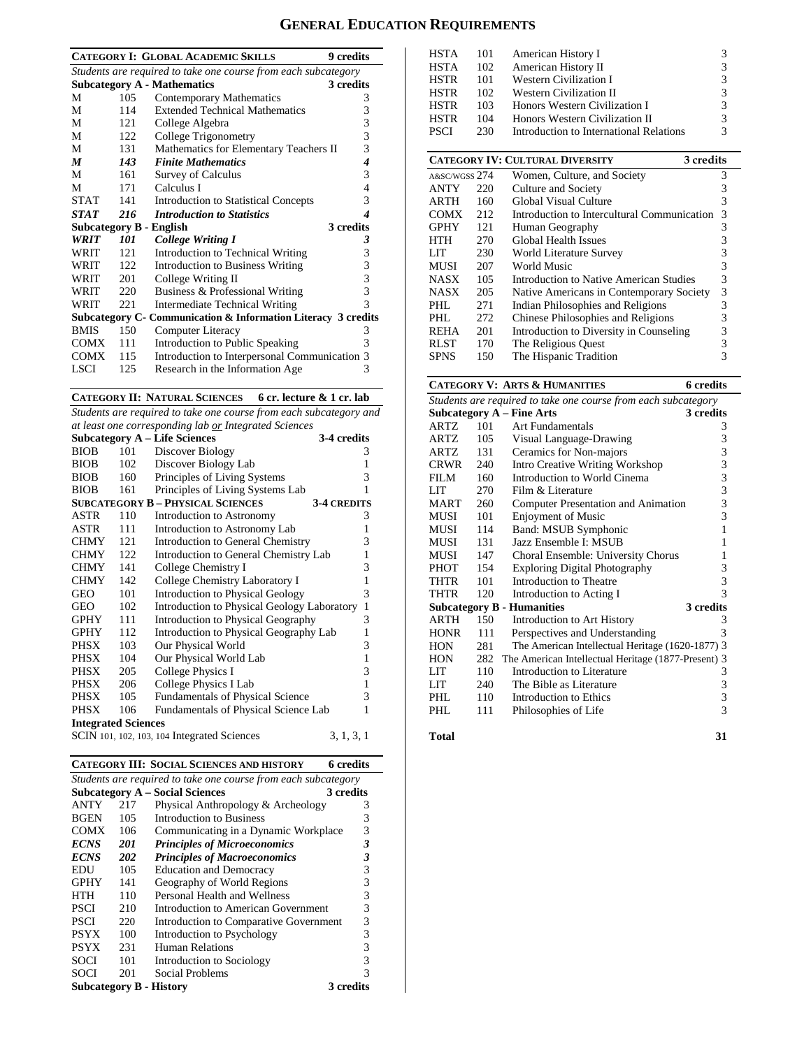# **GENERAL EDUCATION REQUIREMENTS**

|                  |     | 9 credits<br><b>CATEGORY I: GLOBAL ACADEMIC SKILLS</b>         |              |
|------------------|-----|----------------------------------------------------------------|--------------|
|                  |     | Students are required to take one course from each subcategory |              |
|                  |     | <b>Subcategory A - Mathematics</b><br>3 credits                |              |
| М                | 105 | Contemporary Mathematics                                       | 3            |
| М                | 114 | <b>Extended Technical Mathematics</b>                          | 3            |
| М                | 121 | College Algebra                                                | 3            |
| M                | 122 | College Trigonometry                                           | 3            |
| М                | 131 | Mathematics for Elementary Teachers II                         | 3            |
| $\boldsymbol{M}$ | 143 | <b>Finite Mathematics</b>                                      | 4            |
| М                | 161 | Survey of Calculus                                             | 3            |
| М                | 171 | Calculus I                                                     | 4            |
| <b>STAT</b>      | 141 | <b>Introduction to Statistical Concepts</b>                    | 3            |
| <b>STAT</b>      | 216 | <b>Introduction to Statistics</b>                              | 4            |
|                  |     | 3 credits<br>Subcategory B - English                           |              |
| <b>WRIT</b>      | 101 | <b>College Writing I</b>                                       | 3            |
| WRIT             | 121 | Introduction to Technical Writing                              | 3            |
| <b>WRIT</b>      | 122 | Introduction to Business Writing                               | 3            |
| WRIT             | 201 | College Writing II                                             | 3            |
| WRIT             | 220 | Business & Professional Writing                                | 3            |
| WRIT             | 221 | Intermediate Technical Writing                                 | $\mathbf{3}$ |
|                  |     | Subcategory C- Communication & Information Literacy 3 credits  |              |
| <b>BMIS</b>      | 150 | Computer Literacy                                              | 3            |
| COMX             | 111 | Introduction to Public Speaking                                | 3            |
| <b>COMX</b>      | 115 | Introduction to Interpersonal Communication 3                  |              |
| <b>LSCI</b>      | 125 | Research in the Information Age                                | 3            |

#### **CATEGORY II: NATURAL SCIENCES 6 cr. lecture & 1 cr. lab**

*Students are required to take one course from each subcategory and at least one corresponding lab or Integrated Sciences*

|                            |     | <b>Subcategory A - Life Sciences</b>        | 3-4 credits        |              |
|----------------------------|-----|---------------------------------------------|--------------------|--------------|
| <b>BIOB</b>                | 101 | Discover Biology                            |                    | 3            |
| <b>BIOB</b>                | 102 | Discover Biology Lab                        |                    | 1            |
| <b>BIOB</b>                | 160 | Principles of Living Systems                |                    | 3            |
| <b>BIOB</b>                | 161 | Principles of Living Systems Lab            |                    | 1            |
|                            |     | <b>SUBCATEGORY B - PHYSICAL SCIENCES</b>    | <b>3-4 CREDITS</b> |              |
| ASTR                       | 110 | Introduction to Astronomy                   |                    | 3            |
| ASTR                       | 111 | Introduction to Astronomy Lab               |                    | 1            |
| <b>CHMY</b>                | 121 | <b>Introduction to General Chemistry</b>    |                    | 3            |
| <b>CHMY</b>                | 122 | Introduction to General Chemistry Lab       |                    | $\mathbf{1}$ |
| <b>CHMY</b>                | 141 | College Chemistry I                         |                    | 3            |
| CHMY                       | 142 | College Chemistry Laboratory I              |                    | 1            |
| GEO                        | 101 | Introduction to Physical Geology            |                    | 3            |
| <b>GEO</b>                 | 102 | Introduction to Physical Geology Laboratory |                    | $\mathbf{1}$ |
| <b>GPHY</b>                | 111 | <b>Introduction to Physical Geography</b>   |                    | 3            |
| <b>GPHY</b>                | 112 | Introduction to Physical Geography Lab      |                    | 1            |
| PHSX                       | 103 | Our Physical World                          |                    | 3            |
| PHSX                       | 104 | Our Physical World Lab                      |                    | $\mathbf{1}$ |
| PHSX                       | 205 | College Physics I                           |                    | 3            |
| PHSX                       | 206 | College Physics I Lab                       |                    | $\mathbf{1}$ |
| PHSX                       | 105 | <b>Fundamentals of Physical Science</b>     |                    | 3            |
| <b>PHSX</b>                | 106 | Fundamentals of Physical Science Lab        |                    | 1            |
| <b>Integrated Sciences</b> |     |                                             |                    |              |
|                            |     | SCIN 101, 102, 103, 104 Integrated Sciences | 3, 1, 3, 1         |              |

|                                                                |            | <b>CATEGORY III: SOCIAL SCIENCES AND HISTORY</b> | 6 credits |  |  |  |  |
|----------------------------------------------------------------|------------|--------------------------------------------------|-----------|--|--|--|--|
| Students are required to take one course from each subcategory |            |                                                  |           |  |  |  |  |
|                                                                |            | <b>Subcategory A – Social Sciences</b>           | 3 credits |  |  |  |  |
| <b>ANTY</b>                                                    | 217        | Physical Anthropology & Archeology               | 3         |  |  |  |  |
| <b>BGEN</b>                                                    | 105        | Introduction to Business                         | 3         |  |  |  |  |
| <b>COMX</b>                                                    | 106        | Communicating in a Dynamic Workplace             | 3         |  |  |  |  |
| <b>ECNS</b>                                                    | 201        | <b>Principles of Microeconomics</b>              | 3         |  |  |  |  |
| <b>ECNS</b>                                                    | <b>202</b> | <b>Principles of Macroeconomics</b>              | 3         |  |  |  |  |
| EDU                                                            | 105        | <b>Education and Democracy</b>                   | 3         |  |  |  |  |
| <b>GPHY</b>                                                    | 141        | Geography of World Regions                       | 3         |  |  |  |  |
| HTH                                                            | 110        | Personal Health and Wellness                     | 3         |  |  |  |  |
| PSCI                                                           | 210        | Introduction to American Government              | 3         |  |  |  |  |
| PSCI                                                           | 220        | Introduction to Comparative Government           | 3         |  |  |  |  |
| <b>PSYX</b>                                                    | 100        | Introduction to Psychology                       | 3         |  |  |  |  |
| <b>PSYX</b>                                                    | 231        | Human Relations                                  | 3         |  |  |  |  |
| SOCI                                                           | 101        | Introduction to Sociology                        | 3         |  |  |  |  |
| SOCI                                                           | 201        | Social Problems                                  | 3         |  |  |  |  |
|                                                                |            | <b>Subcategory B - History</b>                   | 3 credits |  |  |  |  |

| <b>HSTA</b>   | 101 | American History I                                  | 3 |
|---------------|-----|-----------------------------------------------------|---|
| <b>HSTA</b>   | 102 | American History II                                 | 3 |
| <b>HSTR</b>   | 101 | <b>Western Civilization I</b>                       | 3 |
| <b>HSTR</b>   | 102 | <b>Western Civilization II</b>                      | 3 |
| <b>HSTR</b>   | 103 | Honors Western Civilization I                       | 3 |
| <b>HSTR</b>   | 104 | Honors Western Civilization II                      | 3 |
| <b>PSCI</b>   | 230 | Introduction to International Relations             | 3 |
|               |     |                                                     |   |
|               |     | <b>CATEGORY IV: CULTURAL DIVERSITY</b><br>3 credits |   |
| A&SC/WGSS 274 |     | Women, Culture, and Society                         | 3 |
| ANTY          | 220 | Culture and Society                                 | 3 |
| ARTH          | 160 | Global Visual Culture                               | 3 |
| COMX          | 212 | Introduction to Intercultural Communication         | 3 |
| <b>GPHY</b>   | 121 | Human Geography                                     | 3 |
| HTH           | 270 | Global Health Issues                                | 3 |
| LIT           | 230 | World Literature Survey                             | 3 |
| MUSI          | 207 | World Music                                         | 3 |
| NASX          | 105 | Introduction to Native American Studies             | 3 |
| <b>NASX</b>   | 205 | Native Americans in Contemporary Society            | 3 |
| PHL.          | 271 | Indian Philosophies and Religions                   | 3 |
| PHI.          | 272 | Chinese Philosophies and Religions                  | 3 |
| REHA          | 201 | Introduction to Diversity in Counseling             | 3 |
| <b>RLST</b>   | 170 | The Religious Quest                                 | 3 |
| <b>SPNS</b>   | 150 | The Hispanic Tradition                              | 3 |

The Hispanic Tradition

#### **CATEGORY V: ARTS & HUMANITIES 6 credits**

| Students are required to take one course from each subcategory |     |                                                     |           |  |  |  |  |
|----------------------------------------------------------------|-----|-----------------------------------------------------|-----------|--|--|--|--|
| <b>Subcategory A - Fine Arts</b><br>3 credits                  |     |                                                     |           |  |  |  |  |
| <b>ARTZ</b>                                                    | 101 | Art Fundamentals                                    | 3         |  |  |  |  |
| ARTZ                                                           | 105 | Visual Language-Drawing                             | 3         |  |  |  |  |
| <b>ARTZ</b>                                                    | 131 | Ceramics for Non-majors                             | 3         |  |  |  |  |
| <b>CRWR</b>                                                    | 240 | <b>Intro Creative Writing Workshop</b>              | 3         |  |  |  |  |
| FILM                                                           | 160 | Introduction to World Cinema                        | 3         |  |  |  |  |
| LIT                                                            | 270 | Film & Literature                                   | 3         |  |  |  |  |
| MART                                                           | 260 | <b>Computer Presentation and Animation</b>          | 3         |  |  |  |  |
| MUSI                                                           | 101 | <b>Enjoyment of Music</b>                           | 3         |  |  |  |  |
| MUSI                                                           | 114 | Band: MSUB Symphonic                                | 1         |  |  |  |  |
| MUSI                                                           | 131 | Jazz Ensemble I: MSUB                               | 1         |  |  |  |  |
| MUSI                                                           | 147 | Choral Ensemble: University Chorus                  | 1         |  |  |  |  |
| PHOT                                                           | 154 | <b>Exploring Digital Photography</b>                | 3         |  |  |  |  |
| THTR                                                           | 101 | Introduction to Theatre                             | 3         |  |  |  |  |
| THTR                                                           | 120 | Introduction to Acting I                            | 3         |  |  |  |  |
|                                                                |     | <b>Subcategory B - Humanities</b>                   | 3 credits |  |  |  |  |
| <b>ARTH</b>                                                    | 150 | Introduction to Art History                         | 3         |  |  |  |  |
| <b>HONR</b>                                                    | 111 | Perspectives and Understanding                      | 3         |  |  |  |  |
| <b>HON</b>                                                     | 281 | The American Intellectual Heritage (1620-1877) 3    |           |  |  |  |  |
| <b>HON</b>                                                     | 282 | The American Intellectual Heritage (1877-Present) 3 |           |  |  |  |  |
| LIT                                                            | 110 | Introduction to Literature                          | 3         |  |  |  |  |
| <b>LIT</b>                                                     | 240 | The Bible as Literature                             | 3         |  |  |  |  |
| PHL.                                                           | 110 | Introduction to Ethics                              | 3         |  |  |  |  |
| PHI.                                                           | 111 | Philosophies of Life                                | 3         |  |  |  |  |
|                                                                |     |                                                     |           |  |  |  |  |
| Total                                                          |     |                                                     | 31        |  |  |  |  |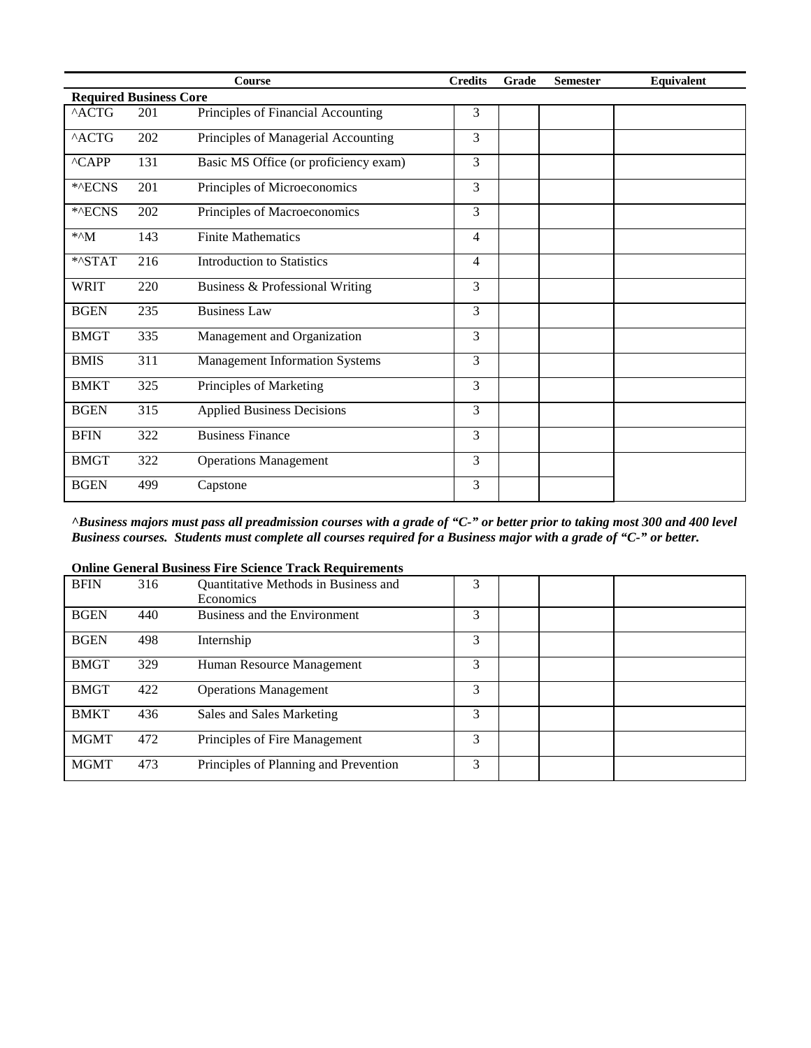|                               |     | <b>Course</b>                         | <b>Credits</b> | Grade | <b>Semester</b> | Equivalent |  |  |
|-------------------------------|-----|---------------------------------------|----------------|-------|-----------------|------------|--|--|
| <b>Required Business Core</b> |     |                                       |                |       |                 |            |  |  |
| $^{\wedge}$ ACTG              | 201 | Principles of Financial Accounting    | 3              |       |                 |            |  |  |
| $^{\wedge}$ ACTG              | 202 | Principles of Managerial Accounting   | $\overline{3}$ |       |                 |            |  |  |
| ^CAPP                         | 131 | Basic MS Office (or proficiency exam) | 3              |       |                 |            |  |  |
| *^ECNS                        | 201 | Principles of Microeconomics          | 3              |       |                 |            |  |  |
| *^ECNS                        | 202 | Principles of Macroeconomics          | 3              |       |                 |            |  |  |
| $*^M$                         | 143 | <b>Finite Mathematics</b>             | $\overline{4}$ |       |                 |            |  |  |
| *^STAT                        | 216 | <b>Introduction to Statistics</b>     | $\overline{4}$ |       |                 |            |  |  |
| <b>WRIT</b>                   | 220 | Business & Professional Writing       | 3              |       |                 |            |  |  |
| <b>BGEN</b>                   | 235 | <b>Business Law</b>                   | 3              |       |                 |            |  |  |
| <b>BMGT</b>                   | 335 | Management and Organization           | 3              |       |                 |            |  |  |
| <b>BMIS</b>                   | 311 | <b>Management Information Systems</b> | 3              |       |                 |            |  |  |
| <b>BMKT</b>                   | 325 | Principles of Marketing               | 3              |       |                 |            |  |  |
| <b>BGEN</b>                   | 315 | <b>Applied Business Decisions</b>     | $\overline{3}$ |       |                 |            |  |  |
| <b>BFIN</b>                   | 322 | <b>Business Finance</b>               | 3              |       |                 |            |  |  |
| <b>BMGT</b>                   | 322 | <b>Operations Management</b>          | 3              |       |                 |            |  |  |
| <b>BGEN</b>                   | 499 | Capstone                              | 3              |       |                 |            |  |  |

*^Business majors must pass all preadmission courses with a grade of "C-" or better prior to taking most 300 and 400 level Business courses. Students must complete all courses required for a Business major with a grade of "C-" or better.*

| <b>BFIN</b> | 316 | Quantitative Methods in Business and<br>Economics | 3 |  |  |
|-------------|-----|---------------------------------------------------|---|--|--|
| <b>BGEN</b> | 440 | Business and the Environment                      | 3 |  |  |
| <b>BGEN</b> | 498 | Internship                                        | 3 |  |  |
| <b>BMGT</b> | 329 | Human Resource Management                         | 3 |  |  |
| <b>BMGT</b> | 422 | <b>Operations Management</b>                      | 3 |  |  |
| <b>BMKT</b> | 436 | Sales and Sales Marketing                         | 3 |  |  |
| <b>MGMT</b> | 472 | Principles of Fire Management                     | 3 |  |  |
| <b>MGMT</b> | 473 | Principles of Planning and Prevention             | 3 |  |  |